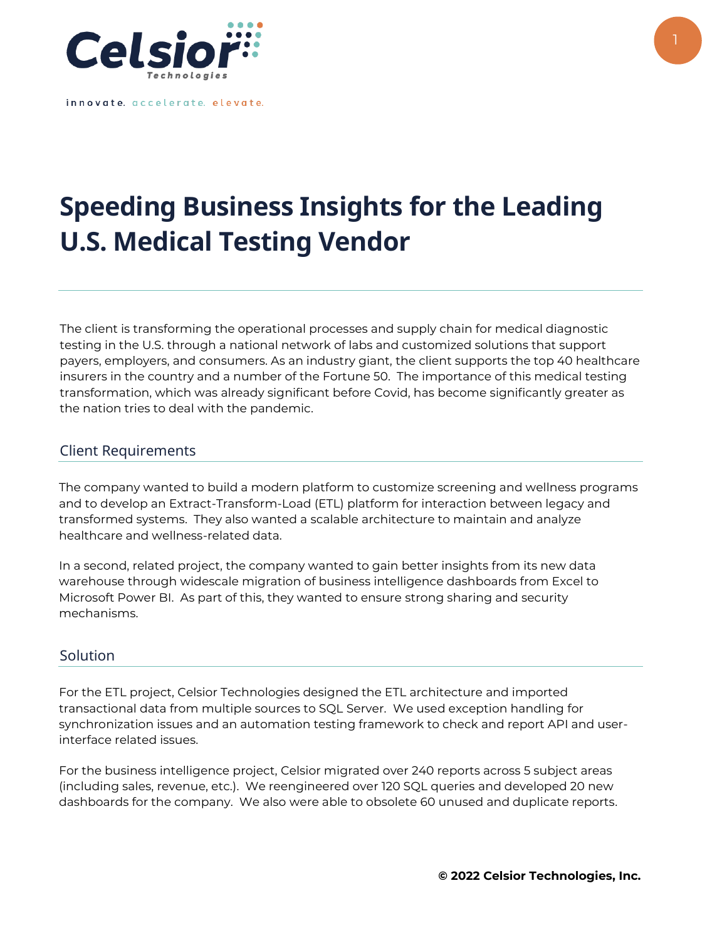

innovate. accelerate. elevate.

## **Speeding Business Insights for the Leading U.S. Medical Testing Vendor**

The client is transforming the operational processes and supply chain for medical diagnostic testing in the U.S. through a national network of labs and customized solutions that support payers, employers, and consumers. As an industry giant, the client supports the top 40 healthcare insurers in the country and a number of the Fortune 50. The importance of this medical testing transformation, which was already significant before Covid, has become significantly greater as the nation tries to deal with the pandemic.

## Client Requirements

The company wanted to build a modern platform to customize screening and wellness programs and to develop an Extract-Transform-Load (ETL) platform for interaction between legacy and transformed systems. They also wanted a scalable architecture to maintain and analyze healthcare and wellness-related data.

In a second, related project, the company wanted to gain better insights from its new data warehouse through widescale migration of business intelligence dashboards from Excel to Microsoft Power BI. As part of this, they wanted to ensure strong sharing and security mechanisms.

## Solution

For the ETL project, Celsior Technologies designed the ETL architecture and imported transactional data from multiple sources to SQL Server. We used exception handling for synchronization issues and an automation testing framework to check and report API and userinterface related issues.

For the business intelligence project, Celsior migrated over 240 reports across 5 subject areas (including sales, revenue, etc.). We reengineered over 120 SQL queries and developed 20 new dashboards for the company. We also were able to obsolete 60 unused and duplicate reports.